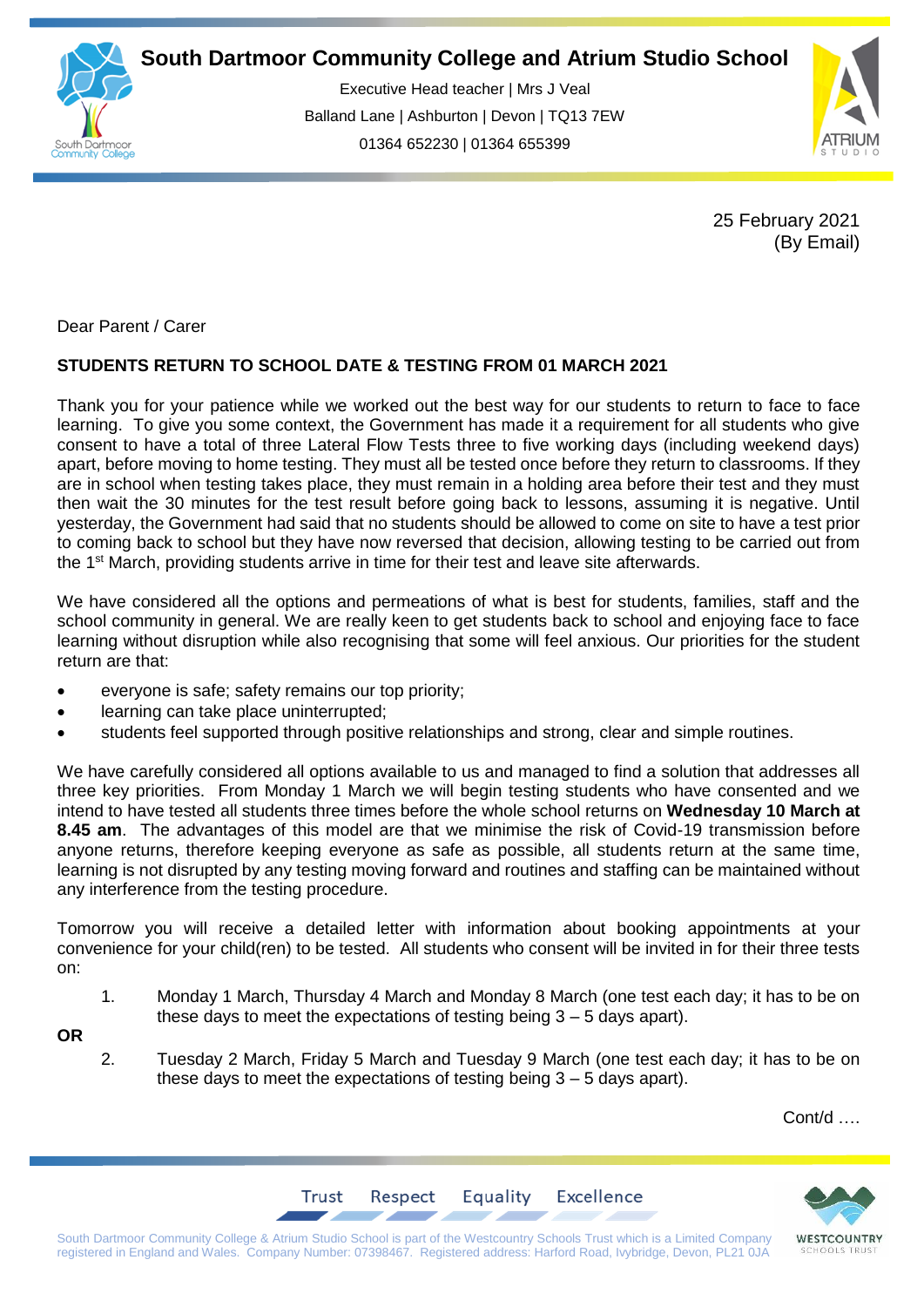

Executive Head teacher | Mrs J Veal Balland Lane | Ashburton | Devon | TQ13 7EW 01364 652230 | 01364 655399

ww.south.co.uk | [www.atrium-studio.co.uk](http://www.atrium-studio.co.uk/) | www.atrium-studio.co.uk



25 February 2021 (By Email)

Dear Parent / Carer

## **STUDENTS RETURN TO SCHOOL DATE & TESTING FROM 01 MARCH 2021**

Thank you for your patience while we worked out the best way for our students to return to face to face learning. To give you some context, the Government has made it a requirement for all students who give consent to have a total of three Lateral Flow Tests three to five working days (including weekend days) apart, before moving to home testing. They must all be tested once before they return to classrooms. If they are in school when testing takes place, they must remain in a holding area before their test and they must then wait the 30 minutes for the test result before going back to lessons, assuming it is negative. Until yesterday, the Government had said that no students should be allowed to come on site to have a test prior to coming back to school but they have now reversed that decision, allowing testing to be carried out from the 1<sup>st</sup> March, providing students arrive in time for their test and leave site afterwards.

We have considered all the options and permeations of what is best for students, families, staff and the school community in general. We are really keen to get students back to school and enjoying face to face learning without disruption while also recognising that some will feel anxious. Our priorities for the student return are that:

- everyone is safe; safety remains our top priority;
- learning can take place uninterrupted;
- students feel supported through positive relationships and strong, clear and simple routines.

We have carefully considered all options available to us and managed to find a solution that addresses all three key priorities. From Monday 1 March we will begin testing students who have consented and we intend to have tested all students three times before the whole school returns on **Wednesday 10 March at 8.45 am**. The advantages of this model are that we minimise the risk of Covid-19 transmission before anyone returns, therefore keeping everyone as safe as possible, all students return at the same time, learning is not disrupted by any testing moving forward and routines and staffing can be maintained without any interference from the testing procedure.

Tomorrow you will receive a detailed letter with information about booking appointments at your convenience for your child(ren) to be tested. All students who consent will be invited in for their three tests on:

1. Monday 1 March, Thursday 4 March and Monday 8 March (one test each day; it has to be on these days to meet the expectations of testing being  $3 - 5$  days apart).

**OR**

2. Tuesday 2 March, Friday 5 March and Tuesday 9 March (one test each day; it has to be on these days to meet the expectations of testing being  $3 - 5$  days apart).

Cont/d ….